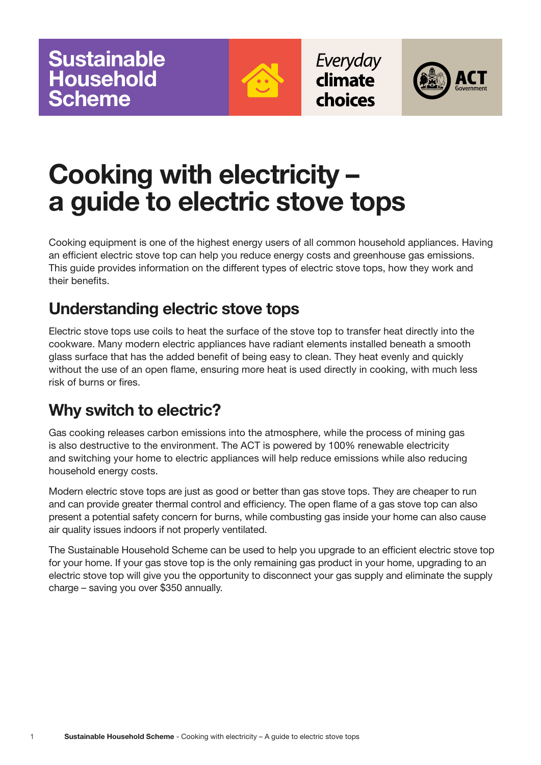

Everyday climate choices



# **Cooking with electricity – a guide to electric stove tops**

Cooking equipment is one of the highest energy users of all common household appliances. Having an efficient electric stove top can help you reduce energy costs and greenhouse gas emissions. This guide provides information on the different types of electric stove tops, how they work and their benefits.

# **Understanding electric stove tops**

Electric stove tops use coils to heat the surface of the stove top to transfer heat directly into the cookware. Many modern electric appliances have radiant elements installed beneath a smooth glass surface that has the added benefit of being easy to clean. They heat evenly and quickly without the use of an open flame, ensuring more heat is used directly in cooking, with much less risk of burns or fires.

# **Why switch to electric?**

Gas cooking releases carbon emissions into the atmosphere, while the process of mining gas is also destructive to the environment. The ACT is powered by 100% renewable electricity and switching your home to electric appliances will help reduce emissions while also reducing household energy costs.

Modern electric stove tops are just as good or better than gas stove tops. They are cheaper to run and can provide greater thermal control and efficiency. The open flame of a gas stove top can also present a potential safety concern for burns, while combusting gas inside your home can also cause air quality issues indoors if not properly ventilated.

The Sustainable Household Scheme can be used to help you upgrade to an efficient electric stove top for your home. If your gas stove top is the only remaining gas product in your home, upgrading to an electric stove top will give you the opportunity to disconnect your gas supply and eliminate the supply charge – saving you over \$350 annually.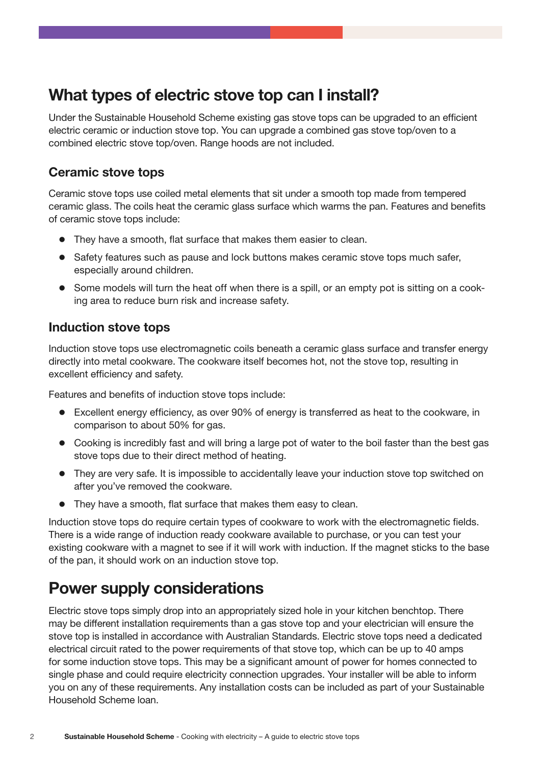# **What types of electric stove top can I install?**

Under the Sustainable Household Scheme existing gas stove tops can be upgraded to an efficient electric ceramic or induction stove top. You can upgrade a combined gas stove top/oven to a combined electric stove top/oven. Range hoods are not included.

#### **Ceramic stove tops**

Ceramic stove tops use coiled metal elements that sit under a smooth top made from tempered ceramic glass. The coils heat the ceramic glass surface which warms the pan. Features and benefits of ceramic stove tops include:

- They have a smooth, flat surface that makes them easier to clean.
- $\bullet$  Safety features such as pause and lock buttons makes ceramic stove tops much safer, especially around children.
- Some models will turn the heat off when there is a spill, or an empty pot is sitting on a cooking area to reduce burn risk and increase safety.

#### **Induction stove tops**

Induction stove tops use electromagnetic coils beneath a ceramic glass surface and transfer energy directly into metal cookware. The cookware itself becomes hot, not the stove top, resulting in excellent efficiency and safety.

Features and benefits of induction stove tops include:

- $\bullet$  Excellent energy efficiency, as over 90% of energy is transferred as heat to the cookware, in comparison to about 50% for gas.
- Cooking is incredibly fast and will bring a large pot of water to the boil faster than the best gas stove tops due to their direct method of heating.
- They are very safe. It is impossible to accidentally leave your induction stove top switched on after you've removed the cookware.
- They have a smooth, flat surface that makes them easy to clean.

Induction stove tops do require certain types of cookware to work with the electromagnetic fields. There is a wide range of induction ready cookware available to purchase, or you can test your existing cookware with a magnet to see if it will work with induction. If the magnet sticks to the base of the pan, it should work on an induction stove top.

# **Power supply considerations**

Electric stove tops simply drop into an appropriately sized hole in your kitchen benchtop. There may be different installation requirements than a gas stove top and your electrician will ensure the stove top is installed in accordance with Australian Standards. Electric stove tops need a dedicated electrical circuit rated to the power requirements of that stove top, which can be up to 40 amps for some induction stove tops. This may be a significant amount of power for homes connected to single phase and could require electricity connection upgrades. Your installer will be able to inform you on any of these requirements. Any installation costs can be included as part of your Sustainable Household Scheme loan.